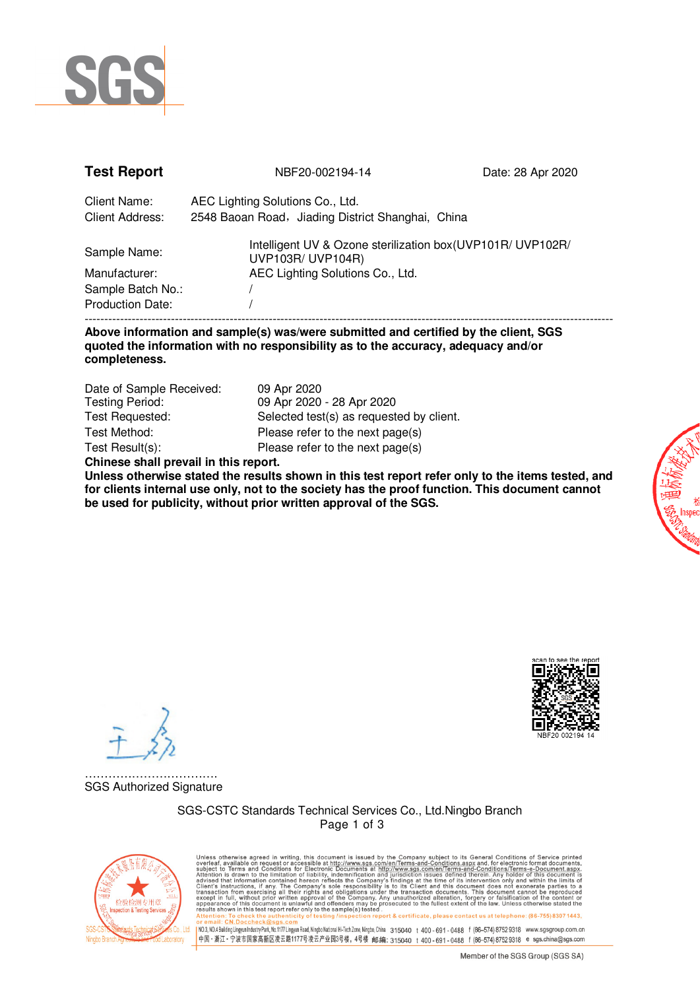

| <b>Test Report</b>                                 | NBF20-002194-14                                                                                                      | Date: 28 Apr 2020 |
|----------------------------------------------------|----------------------------------------------------------------------------------------------------------------------|-------------------|
| Client Name:<br><b>Client Address:</b>             | AEC Lighting Solutions Co., Ltd.<br>2548 Baoan Road, Jiading District Shanghai, China                                |                   |
| Sample Name:<br>Manufacturer:<br>Sample Batch No.: | Intelligent UV & Ozone sterilization box (UVP101R/ UVP102R/<br>UVP103R/ UVP104R)<br>AEC Lighting Solutions Co., Ltd. |                   |
| <b>Production Date:</b>                            |                                                                                                                      |                   |

### **Above information and sample(s) was/were submitted and certified by the client, SGS quoted the information with no responsibility as to the accuracy, adequacy and/or completeness.**

| Date of Sample Received:              | 09 Apr 2020                              |  |  |  |
|---------------------------------------|------------------------------------------|--|--|--|
| <b>Testing Period:</b>                | 09 Apr 2020 - 28 Apr 2020                |  |  |  |
| Test Requested:                       | Selected test(s) as requested by client. |  |  |  |
| Test Method:                          | Please refer to the next page(s)         |  |  |  |
| Test Result(s):                       | Please refer to the next page(s)         |  |  |  |
| Chinese shall prevail in this report. |                                          |  |  |  |

**Unless otherwise stated the results shown in this test report refer only to the items tested, and for clients internal use only, not to the society has the proof function. This document cannot be used for publicity, without prior written approval of the SGS.** 

……………………………. SGS Authorized Signature

> SGS-CSTC Standards Technical Services Co., Ltd.Ningbo Branch Page 1 of 3



Unless otherwise agreed in writing, this document is issued by the Company subject to its General Conditions of Service printed available on request or accessible at this document is subject to Terms and Conditions for El report & certificate, please contact us at telephone: (86-755) 8307 1443. v Mexical : crystness (https://www.sgssreview.com/mexical/higholalabinalHi-Tech2one,Ningbo,China 315040 t 400-691-0488 f (86–574)87529318 www.sgsgroup.com.cn<br>|中国 - 浙江 - 宁波市国家高新区凌云路1177号凌云产业园3号楼,4号楼 -邮编: 315040 t 400-691-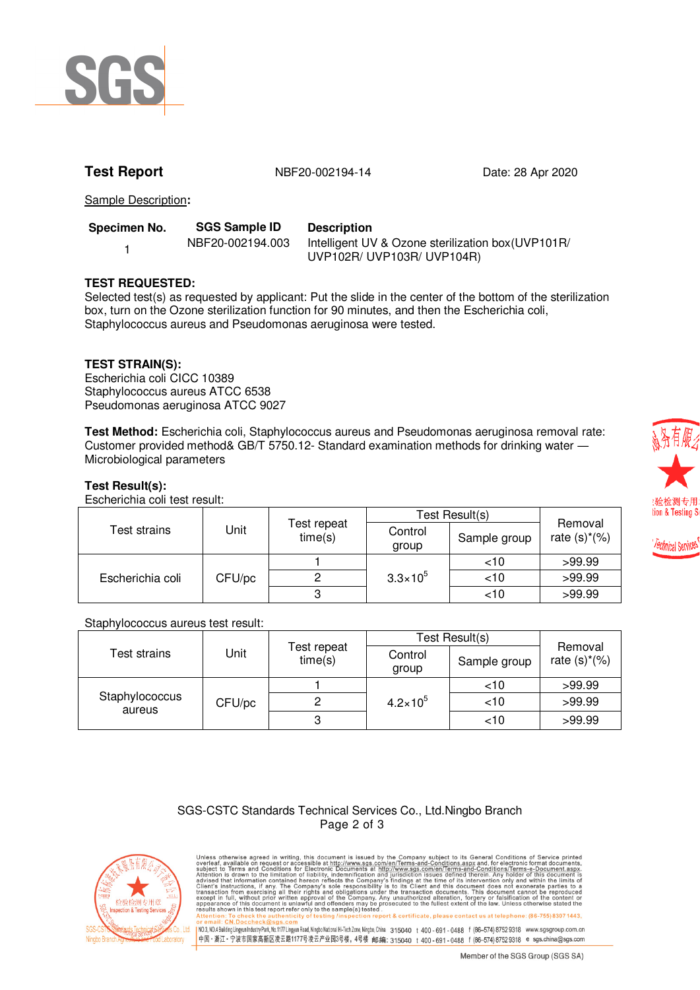

**Test Report** 1988 100 NBF20-002194-14 1999 Date: 28 Apr 2020

Sample Description**:**

| Specimen No. | <b>SGS Sample ID</b> | <b>Description</b> |  |
|--------------|----------------------|--------------------|--|
|              | NBF20-002194.003     | Intelligent UV     |  |
|              |                      | 1.111777007111     |  |

V & Ozone sterilization box(UVP101R/ UVP102R/ UVP103R/ UVP104R)

# **TEST REQUESTED:**

Selected test(s) as requested by applicant: Put the slide in the center of the bottom of the sterilization box, turn on the Ozone sterilization function for 90 minutes, and then the Escherichia coli, Staphylococcus aureus and Pseudomonas aeruginosa were tested.

# **TEST STRAIN(S):**

Escherichia coli CICC 10389 Staphylococcus aureus ATCC 6538 Pseudomonas aeruginosa ATCC 9027

**Test Method:** Escherichia coli, Staphylococcus aureus and Pseudomonas aeruginosa removal rate: Customer provided method& GB/T 5750.12- Standard examination methods for drinking water ― Microbiological parameters

# **Test Result(s):**

Escherichia coli test result:

|                  |        |                        | Test Result(s)      |              |                            |
|------------------|--------|------------------------|---------------------|--------------|----------------------------|
| Test strains     | Jnit   | Test repeat<br>time(s) | Control<br>group    | Sample group | Removal<br>rate $(s)*(\%)$ |
| Escherichia coli | CFU/pc |                        | $3.3 \times 10^{5}$ | ~10          | >99.99                     |
|                  |        |                        |                     | ~10          | >99.99                     |
|                  |        |                        |                     | ~10          | >99.99                     |

### Staphylococcus aureus test result:

|                          |        |                        | Test Result(s)      |              |                            |
|--------------------------|--------|------------------------|---------------------|--------------|----------------------------|
| Test strains             | Jnit   | Test repeat<br>time(s) | Control<br>group    | Sample group | Removal<br>rate $(s)*(\%)$ |
| Staphylococcus<br>aureus | CFU/pc |                        | $4.2 \times 10^{5}$ | ~10          | >99.99                     |
|                          |        |                        |                     | $<$ 10       | >99.99                     |
|                          |        |                        |                     | ~10          | >99.99                     |

### SGS-CSTC Standards Technical Services Co., Ltd.Ningbo Branch Page 2 of 3



Unless otherwise agreed in writing, this document is issued by the Company subject to its General Conditions of Service printed available on request or accessible at this document is subject to Terms and Conditions for El report & certificate, please contact us at telephone: (86-755) 8307 1443 」<br>| NO.3,NO.4BuildingLingyunIndustryPark,No.1177Lingyun Road,Ningbo.National Hi-Tech Zone,Ningbo.China 315040 t 400 - 691 - 0488 f (86–574)87529318 www.sgsgroup.com.cn<br>|中国 - 浙江 - 宁波市国家高新区凌云路1177号凌云产业园3号楼, 4号楼 -邮编: 31504